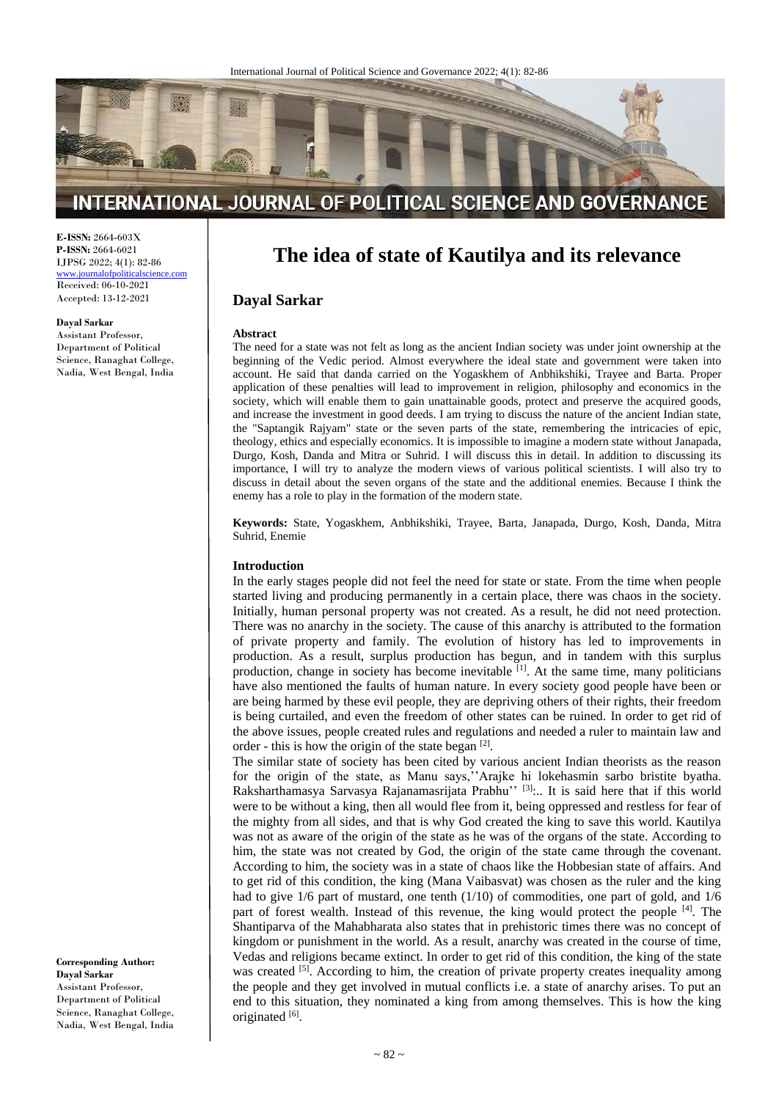

# INTERNATIONAL JOURNAL OF POLITICAL SCIENCE AND GOVERNANCE

**E-ISSN:** 2664-603X **P-ISSN:** 2664-6021 IJPSG 2022; 4(1): 82-86 [www.journalofpoliticalscience.com](http://www.journalofpoliticalscience.com/)

Received: 06-10-2021 Accepted: 13-12-2021

**Dayal Sarkar** Assistant Professor, Department of Political Science, Ranaghat College, Nadia, West Bengal, India

**The idea of state of Kautilya and its relevance**

## **Dayal Sarkar**

#### **Abstract**

The need for a state was not felt as long as the ancient Indian society was under joint ownership at the beginning of the Vedic period. Almost everywhere the ideal state and government were taken into account. He said that danda carried on the Yogaskhem of Anbhikshiki, Trayee and Barta. Proper application of these penalties will lead to improvement in religion, philosophy and economics in the society, which will enable them to gain unattainable goods, protect and preserve the acquired goods, and increase the investment in good deeds. I am trying to discuss the nature of the ancient Indian state, the "Saptangik Rajyam" state or the seven parts of the state, remembering the intricacies of epic, theology, ethics and especially economics. It is impossible to imagine a modern state without Janapada, Durgo, Kosh, Danda and Mitra or Suhrid. I will discuss this in detail. In addition to discussing its importance, I will try to analyze the modern views of various political scientists. I will also try to discuss in detail about the seven organs of the state and the additional enemies. Because I think the enemy has a role to play in the formation of the modern state.

**Keywords:** State, Yogaskhem, Anbhikshiki, Trayee, Barta, Janapada, Durgo, Kosh, Danda, Mitra Suhrid, Enemie

#### **Introduction**

In the early stages people did not feel the need for state or state. From the time when people started living and producing permanently in a certain place, there was chaos in the society. Initially, human personal property was not created. As a result, he did not need protection. There was no anarchy in the society. The cause of this anarchy is attributed to the formation of private property and family. The evolution of history has led to improvements in production. As a result, surplus production has begun, and in tandem with this surplus production, change in society has become inevitable <sup>[1]</sup>. At the same time, many politicians have also mentioned the faults of human nature. In every society good people have been or are being harmed by these evil people, they are depriving others of their rights, their freedom is being curtailed, and even the freedom of other states can be ruined. In order to get rid of the above issues, people created rules and regulations and needed a ruler to maintain law and order - this is how the origin of the state began  $[2]$ .

The similar state of society has been cited by various ancient Indian theorists as the reason for the origin of the state, as Manu says,''Arajke hi lokehasmin sarbo bristite byatha. Raksharthamasya Sarvasya Rajanamasrijata Prabhu"<sup>[3]</sup>:.. It is said here that if this world were to be without a king, then all would flee from it, being oppressed and restless for fear of the mighty from all sides, and that is why God created the king to save this world. Kautilya was not as aware of the origin of the state as he was of the organs of the state. According to him, the state was not created by God, the origin of the state came through the covenant. According to him, the society was in a state of chaos like the Hobbesian state of affairs. And to get rid of this condition, the king (Mana Vaibasvat) was chosen as the ruler and the king had to give 1/6 part of mustard, one tenth (1/10) of commodities, one part of gold, and 1/6 part of forest wealth. Instead of this revenue, the king would protect the people <sup>[4]</sup>. The Shantiparva of the Mahabharata also states that in prehistoric times there was no concept of kingdom or punishment in the world. As a result, anarchy was created in the course of time, Vedas and religions became extinct. In order to get rid of this condition, the king of the state was created <sup>[5]</sup>. According to him, the creation of private property creates inequality among the people and they get involved in mutual conflicts i.e. a state of anarchy arises. To put an end to this situation, they nominated a king from among themselves. This is how the king originated [6].

**Corresponding Author: Dayal Sarkar** Assistant Professor, Department of Political Science, Ranaghat College, Nadia, West Bengal, India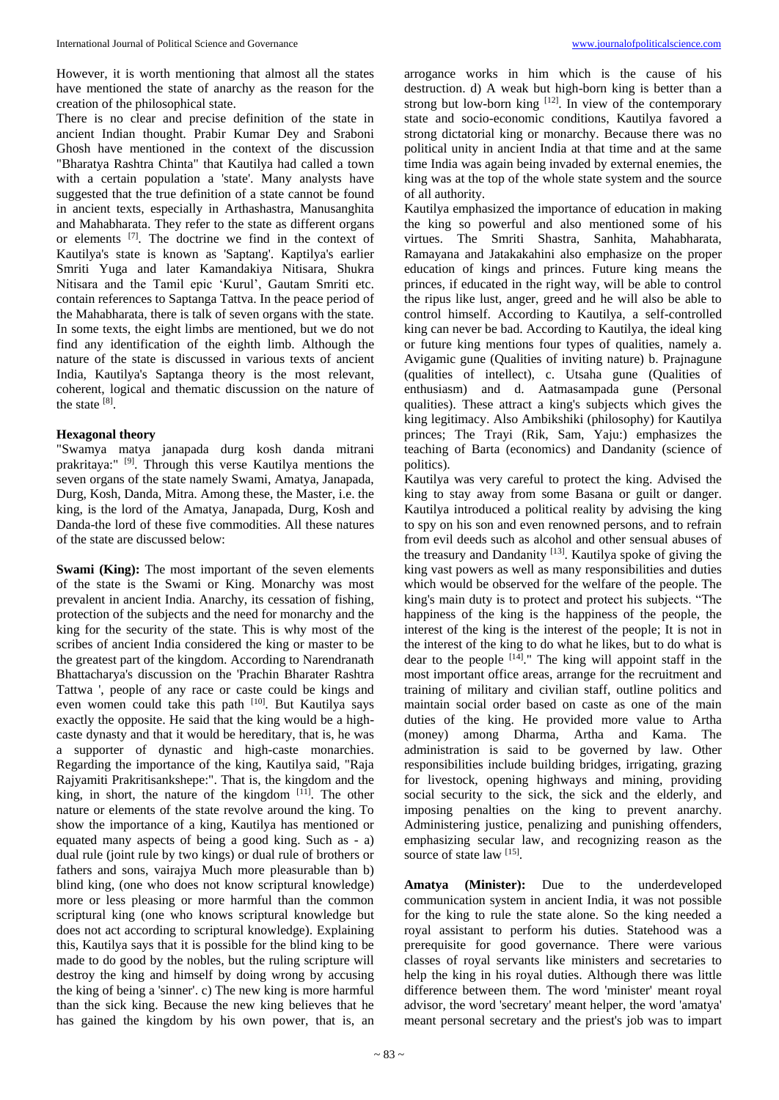However, it is worth mentioning that almost all the states have mentioned the state of anarchy as the reason for the creation of the philosophical state.

There is no clear and precise definition of the state in ancient Indian thought. Prabir Kumar Dey and Sraboni Ghosh have mentioned in the context of the discussion "Bharatya Rashtra Chinta" that Kautilya had called a town with a certain population a 'state'. Many analysts have suggested that the true definition of a state cannot be found in ancient texts, especially in Arthashastra, Manusanghita and Mahabharata. They refer to the state as different organs or elements [7] . The doctrine we find in the context of Kautilya's state is known as 'Saptang'. Kaptilya's earlier Smriti Yuga and later Kamandakiya Nitisara, Shukra Nitisara and the Tamil epic 'Kurul', Gautam Smriti etc. contain references to Saptanga Tattva. In the peace period of the Mahabharata, there is talk of seven organs with the state. In some texts, the eight limbs are mentioned, but we do not find any identification of the eighth limb. Although the nature of the state is discussed in various texts of ancient India, Kautilya's Saptanga theory is the most relevant, coherent, logical and thematic discussion on the nature of the state  $^{[8]}$ .

#### **Hexagonal theory**

"Swamya matya janapada durg kosh danda mitrani prakritaya:" [9] . Through this verse Kautilya mentions the seven organs of the state namely Swami, Amatya, Janapada, Durg, Kosh, Danda, Mitra. Among these, the Master, i.e. the king, is the lord of the Amatya, Janapada, Durg, Kosh and Danda-the lord of these five commodities. All these natures of the state are discussed below:

**Swami (King):** The most important of the seven elements of the state is the Swami or King. Monarchy was most prevalent in ancient India. Anarchy, its cessation of fishing, protection of the subjects and the need for monarchy and the king for the security of the state. This is why most of the scribes of ancient India considered the king or master to be the greatest part of the kingdom. According to Narendranath Bhattacharya's discussion on the 'Prachin Bharater Rashtra Tattwa ', people of any race or caste could be kings and even women could take this path [10]. But Kautilya says exactly the opposite. He said that the king would be a highcaste dynasty and that it would be hereditary, that is, he was a supporter of dynastic and high-caste monarchies. Regarding the importance of the king, Kautilya said, "Raja Rajyamiti Prakritisankshepe:". That is, the kingdom and the king, in short, the nature of the kingdom  $[11]$ . The other nature or elements of the state revolve around the king. To show the importance of a king, Kautilya has mentioned or equated many aspects of being a good king. Such as - a) dual rule (joint rule by two kings) or dual rule of brothers or fathers and sons, vairajya Much more pleasurable than b) blind king, (one who does not know scriptural knowledge) more or less pleasing or more harmful than the common scriptural king (one who knows scriptural knowledge but does not act according to scriptural knowledge). Explaining this, Kautilya says that it is possible for the blind king to be made to do good by the nobles, but the ruling scripture will destroy the king and himself by doing wrong by accusing the king of being a 'sinner'. c) The new king is more harmful than the sick king. Because the new king believes that he has gained the kingdom by his own power, that is, an

arrogance works in him which is the cause of his destruction. d) A weak but high-born king is better than a strong but low-born king  $[12]$ . In view of the contemporary state and socio-economic conditions, Kautilya favored a strong dictatorial king or monarchy. Because there was no political unity in ancient India at that time and at the same time India was again being invaded by external enemies, the king was at the top of the whole state system and the source of all authority.

Kautilya emphasized the importance of education in making the king so powerful and also mentioned some of his virtues. The Smriti Shastra, Sanhita, Mahabharata, Ramayana and Jatakakahini also emphasize on the proper education of kings and princes. Future king means the princes, if educated in the right way, will be able to control the ripus like lust, anger, greed and he will also be able to control himself. According to Kautilya, a self-controlled king can never be bad. According to Kautilya, the ideal king or future king mentions four types of qualities, namely a. Avigamic gune (Qualities of inviting nature) b. Prajnagune (qualities of intellect), c. Utsaha gune (Qualities of enthusiasm) and d. Aatmasampada gune (Personal qualities). These attract a king's subjects which gives the king legitimacy. Also Ambikshiki (philosophy) for Kautilya princes; The Trayi (Rik, Sam, Yaju:) emphasizes the teaching of Barta (economics) and Dandanity (science of politics).

Kautilya was very careful to protect the king. Advised the king to stay away from some Basana or guilt or danger. Kautilya introduced a political reality by advising the king to spy on his son and even renowned persons, and to refrain from evil deeds such as alcohol and other sensual abuses of the treasury and Dandanity<sup>[13]</sup>. Kautilya spoke of giving the king vast powers as well as many responsibilities and duties which would be observed for the welfare of the people. The king's main duty is to protect and protect his subjects. "The happiness of the king is the happiness of the people, the interest of the king is the interest of the people; It is not in the interest of the king to do what he likes, but to do what is dear to the people  $[14]$ ." The king will appoint staff in the most important office areas, arrange for the recruitment and training of military and civilian staff, outline politics and maintain social order based on caste as one of the main duties of the king. He provided more value to Artha (money) among Dharma, Artha and Kama. The administration is said to be governed by law. Other responsibilities include building bridges, irrigating, grazing for livestock, opening highways and mining, providing social security to the sick, the sick and the elderly, and imposing penalties on the king to prevent anarchy. Administering justice, penalizing and punishing offenders, emphasizing secular law, and recognizing reason as the source of state law [15].

**Amatya (Minister):** Due to the underdeveloped communication system in ancient India, it was not possible for the king to rule the state alone. So the king needed a royal assistant to perform his duties. Statehood was a prerequisite for good governance. There were various classes of royal servants like ministers and secretaries to help the king in his royal duties. Although there was little difference between them. The word 'minister' meant royal advisor, the word 'secretary' meant helper, the word 'amatya' meant personal secretary and the priest's job was to impart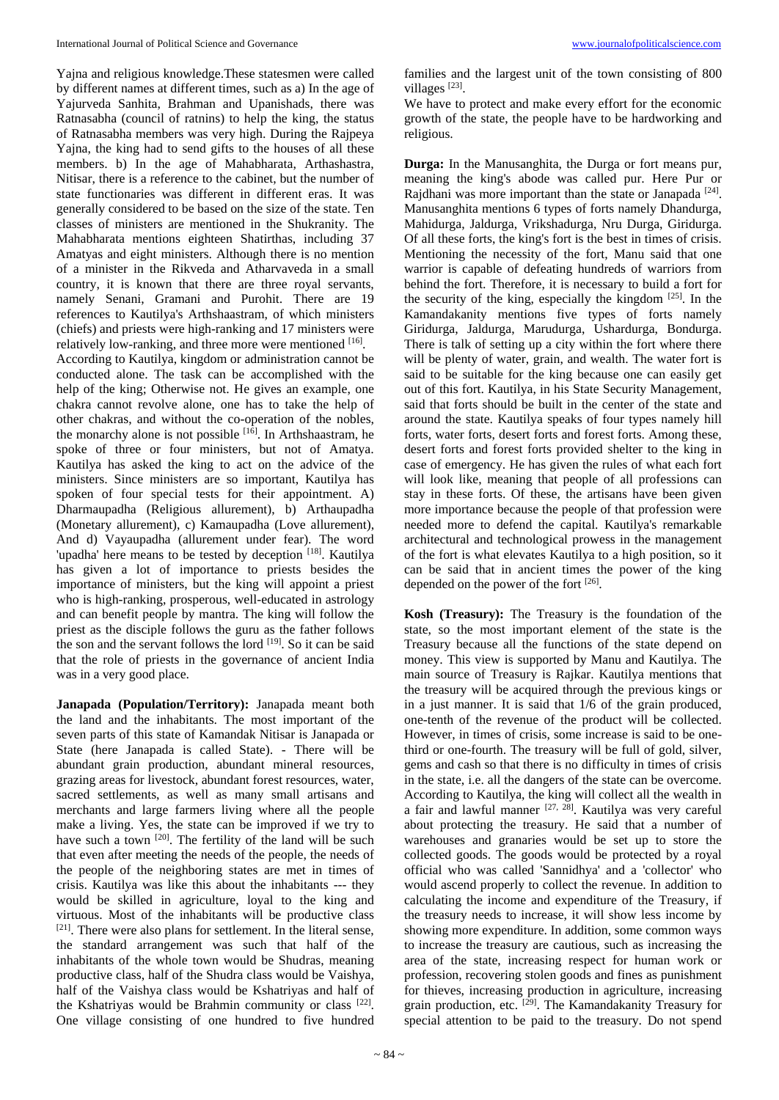Yajna and religious knowledge.These statesmen were called by different names at different times, such as a) In the age of Yajurveda Sanhita, Brahman and Upanishads, there was Ratnasabha (council of ratnins) to help the king, the status of Ratnasabha members was very high. During the Rajpeya Yajna, the king had to send gifts to the houses of all these members. b) In the age of Mahabharata, Arthashastra, Nitisar, there is a reference to the cabinet, but the number of state functionaries was different in different eras. It was generally considered to be based on the size of the state. Ten classes of ministers are mentioned in the Shukranity. The Mahabharata mentions eighteen Shatirthas, including 37 Amatyas and eight ministers. Although there is no mention of a minister in the Rikveda and Atharvaveda in a small country, it is known that there are three royal servants, namely Senani, Gramani and Purohit. There are 19 references to Kautilya's Arthshaastram, of which ministers (chiefs) and priests were high-ranking and 17 ministers were relatively low-ranking, and three more were mentioned [16].

According to Kautilya, kingdom or administration cannot be conducted alone. The task can be accomplished with the help of the king; Otherwise not. He gives an example, one chakra cannot revolve alone, one has to take the help of other chakras, and without the co-operation of the nobles, the monarchy alone is not possible [16]. In Arthshaastram, he spoke of three or four ministers, but not of Amatya. Kautilya has asked the king to act on the advice of the ministers. Since ministers are so important, Kautilya has spoken of four special tests for their appointment. A) Dharmaupadha (Religious allurement), b) Arthaupadha (Monetary allurement), c) Kamaupadha (Love allurement), And d) Vayaupadha (allurement under fear). The word 'upadha' here means to be tested by deception [18]. Kautilya has given a lot of importance to priests besides the importance of ministers, but the king will appoint a priest who is high-ranking, prosperous, well-educated in astrology and can benefit people by mantra. The king will follow the priest as the disciple follows the guru as the father follows the son and the servant follows the lord <sup>[19]</sup>. So it can be said that the role of priests in the governance of ancient India was in a very good place.

**Janapada (Population/Territory):** Janapada meant both the land and the inhabitants. The most important of the seven parts of this state of Kamandak Nitisar is Janapada or State (here Janapada is called State). - There will be abundant grain production, abundant mineral resources, grazing areas for livestock, abundant forest resources, water, sacred settlements, as well as many small artisans and merchants and large farmers living where all the people make a living. Yes, the state can be improved if we try to have such a town  $[20]$ . The fertility of the land will be such that even after meeting the needs of the people, the needs of the people of the neighboring states are met in times of crisis. Kautilya was like this about the inhabitants --- they would be skilled in agriculture, loyal to the king and virtuous. Most of the inhabitants will be productive class  $[21]$ . There were also plans for settlement. In the literal sense, the standard arrangement was such that half of the inhabitants of the whole town would be Shudras, meaning productive class, half of the Shudra class would be Vaishya, half of the Vaishya class would be Kshatriyas and half of the Kshatriyas would be Brahmin community or class [22]. One village consisting of one hundred to five hundred

families and the largest unit of the town consisting of 800 villages<sup>[23]</sup>.

We have to protect and make every effort for the economic growth of the state, the people have to be hardworking and religious.

**Durga:** In the Manusanghita, the Durga or fort means pur, meaning the king's abode was called pur. Here Pur or Rajdhani was more important than the state or Janapada<sup>[24]</sup>. Manusanghita mentions 6 types of forts namely Dhandurga, Mahidurga, Jaldurga, Vrikshadurga, Nru Durga, Giridurga. Of all these forts, the king's fort is the best in times of crisis. Mentioning the necessity of the fort, Manu said that one warrior is capable of defeating hundreds of warriors from behind the fort. Therefore, it is necessary to build a fort for the security of the king, especially the kingdom  $[25]$ . In the Kamandakanity mentions five types of forts namely Giridurga, Jaldurga, Marudurga, Ushardurga, Bondurga. There is talk of setting up a city within the fort where there will be plenty of water, grain, and wealth. The water fort is said to be suitable for the king because one can easily get out of this fort. Kautilya, in his State Security Management, said that forts should be built in the center of the state and around the state. Kautilya speaks of four types namely hill forts, water forts, desert forts and forest forts. Among these, desert forts and forest forts provided shelter to the king in case of emergency. He has given the rules of what each fort will look like, meaning that people of all professions can stay in these forts. Of these, the artisans have been given more importance because the people of that profession were needed more to defend the capital. Kautilya's remarkable architectural and technological prowess in the management of the fort is what elevates Kautilya to a high position, so it can be said that in ancient times the power of the king depended on the power of the fort [26].

**Kosh (Treasury):** The Treasury is the foundation of the state, so the most important element of the state is the Treasury because all the functions of the state depend on money. This view is supported by Manu and Kautilya. The main source of Treasury is Rajkar. Kautilya mentions that the treasury will be acquired through the previous kings or in a just manner. It is said that 1/6 of the grain produced, one-tenth of the revenue of the product will be collected. However, in times of crisis, some increase is said to be onethird or one-fourth. The treasury will be full of gold, silver, gems and cash so that there is no difficulty in times of crisis in the state, i.e. all the dangers of the state can be overcome. According to Kautilya, the king will collect all the wealth in a fair and lawful manner  $[27, 28]$ . Kautilya was very careful about protecting the treasury. He said that a number of warehouses and granaries would be set up to store the collected goods. The goods would be protected by a royal official who was called 'Sannidhya' and a 'collector' who would ascend properly to collect the revenue. In addition to calculating the income and expenditure of the Treasury, if the treasury needs to increase, it will show less income by showing more expenditure. In addition, some common ways to increase the treasury are cautious, such as increasing the area of the state, increasing respect for human work or profession, recovering stolen goods and fines as punishment for thieves, increasing production in agriculture, increasing grain production, etc. <sup>[29]</sup>. The Kamandakanity Treasury for special attention to be paid to the treasury. Do not spend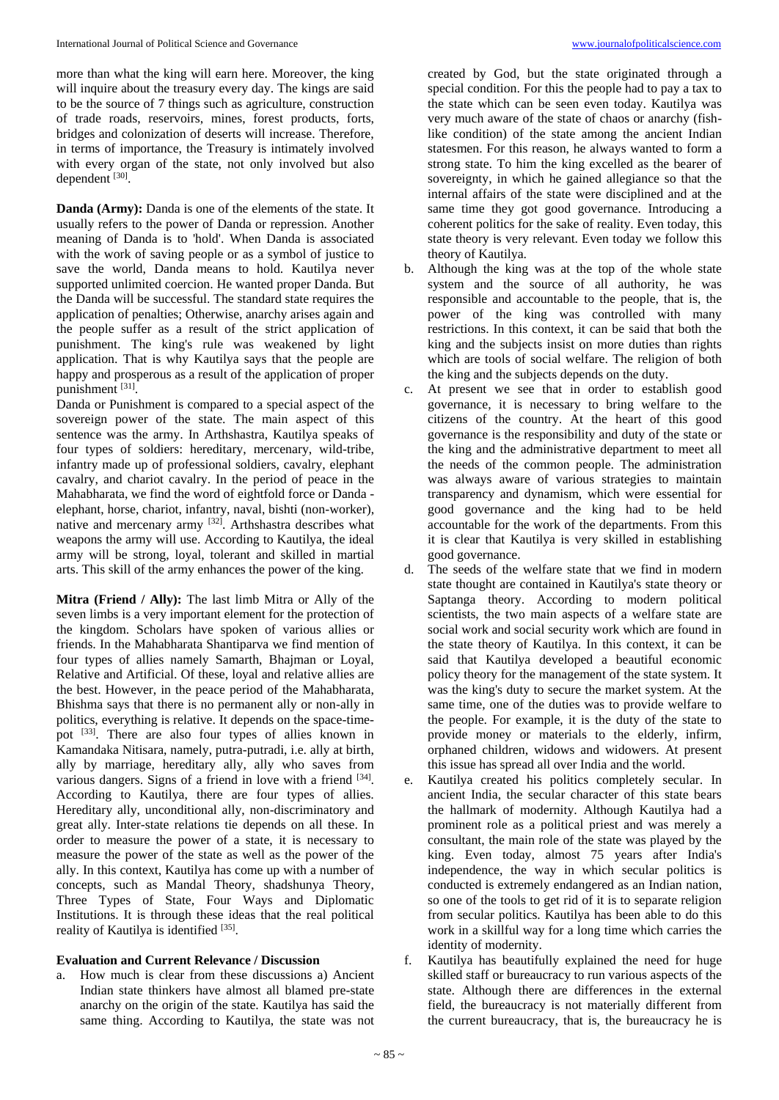more than what the king will earn here. Moreover, the king will inquire about the treasury every day. The kings are said to be the source of 7 things such as agriculture, construction of trade roads, reservoirs, mines, forest products, forts, bridges and colonization of deserts will increase. Therefore, in terms of importance, the Treasury is intimately involved with every organ of the state, not only involved but also dependent [30].

**Danda (Army):** Danda is one of the elements of the state. It usually refers to the power of Danda or repression. Another meaning of Danda is to 'hold'. When Danda is associated with the work of saving people or as a symbol of justice to save the world, Danda means to hold. Kautilya never supported unlimited coercion. He wanted proper Danda. But the Danda will be successful. The standard state requires the application of penalties; Otherwise, anarchy arises again and the people suffer as a result of the strict application of punishment. The king's rule was weakened by light application. That is why Kautilya says that the people are happy and prosperous as a result of the application of proper punishment [31].

Danda or Punishment is compared to a special aspect of the sovereign power of the state. The main aspect of this sentence was the army. In Arthshastra, Kautilya speaks of four types of soldiers: hereditary, mercenary, wild-tribe, infantry made up of professional soldiers, cavalry, elephant cavalry, and chariot cavalry. In the period of peace in the Mahabharata, we find the word of eightfold force or Danda elephant, horse, chariot, infantry, naval, bishti (non-worker), native and mercenary army <sup>[32]</sup>. Arthshastra describes what weapons the army will use. According to Kautilya, the ideal army will be strong, loyal, tolerant and skilled in martial arts. This skill of the army enhances the power of the king.

**Mitra (Friend / Ally):** The last limb Mitra or Ally of the seven limbs is a very important element for the protection of the kingdom. Scholars have spoken of various allies or friends. In the Mahabharata Shantiparva we find mention of four types of allies namely Samarth, Bhajman or Loyal, Relative and Artificial. Of these, loyal and relative allies are the best. However, in the peace period of the Mahabharata, Bhishma says that there is no permanent ally or non-ally in politics, everything is relative. It depends on the space-timepot [33]. There are also four types of allies known in Kamandaka Nitisara, namely, putra-putradi, i.e. ally at birth, ally by marriage, hereditary ally, ally who saves from various dangers. Signs of a friend in love with a friend [34]. According to Kautilya, there are four types of allies. Hereditary ally, unconditional ally, non-discriminatory and great ally. Inter-state relations tie depends on all these. In order to measure the power of a state, it is necessary to measure the power of the state as well as the power of the ally. In this context, Kautilya has come up with a number of concepts, such as Mandal Theory, shadshunya Theory, Three Types of State, Four Ways and Diplomatic Institutions. It is through these ideas that the real political reality of Kautilya is identified [35].

### **Evaluation and Current Relevance / Discussion**

How much is clear from these discussions a) Ancient Indian state thinkers have almost all blamed pre-state anarchy on the origin of the state. Kautilya has said the same thing. According to Kautilya, the state was not created by God, but the state originated through a special condition. For this the people had to pay a tax to the state which can be seen even today. Kautilya was very much aware of the state of chaos or anarchy (fishlike condition) of the state among the ancient Indian statesmen. For this reason, he always wanted to form a strong state. To him the king excelled as the bearer of sovereignty, in which he gained allegiance so that the internal affairs of the state were disciplined and at the same time they got good governance. Introducing a coherent politics for the sake of reality. Even today, this state theory is very relevant. Even today we follow this theory of Kautilya.

- b. Although the king was at the top of the whole state system and the source of all authority, he was responsible and accountable to the people, that is, the power of the king was controlled with many restrictions. In this context, it can be said that both the king and the subjects insist on more duties than rights which are tools of social welfare. The religion of both the king and the subjects depends on the duty.
- c. At present we see that in order to establish good governance, it is necessary to bring welfare to the citizens of the country. At the heart of this good governance is the responsibility and duty of the state or the king and the administrative department to meet all the needs of the common people. The administration was always aware of various strategies to maintain transparency and dynamism, which were essential for good governance and the king had to be held accountable for the work of the departments. From this it is clear that Kautilya is very skilled in establishing good governance.
- d. The seeds of the welfare state that we find in modern state thought are contained in Kautilya's state theory or Saptanga theory. According to modern political scientists, the two main aspects of a welfare state are social work and social security work which are found in the state theory of Kautilya. In this context, it can be said that Kautilya developed a beautiful economic policy theory for the management of the state system. It was the king's duty to secure the market system. At the same time, one of the duties was to provide welfare to the people. For example, it is the duty of the state to provide money or materials to the elderly, infirm, orphaned children, widows and widowers. At present this issue has spread all over India and the world.
- e. Kautilya created his politics completely secular. In ancient India, the secular character of this state bears the hallmark of modernity. Although Kautilya had a prominent role as a political priest and was merely a consultant, the main role of the state was played by the king. Even today, almost 75 years after India's independence, the way in which secular politics is conducted is extremely endangered as an Indian nation, so one of the tools to get rid of it is to separate religion from secular politics. Kautilya has been able to do this work in a skillful way for a long time which carries the identity of modernity.
- Kautilya has beautifully explained the need for huge skilled staff or bureaucracy to run various aspects of the state. Although there are differences in the external field, the bureaucracy is not materially different from the current bureaucracy, that is, the bureaucracy he is